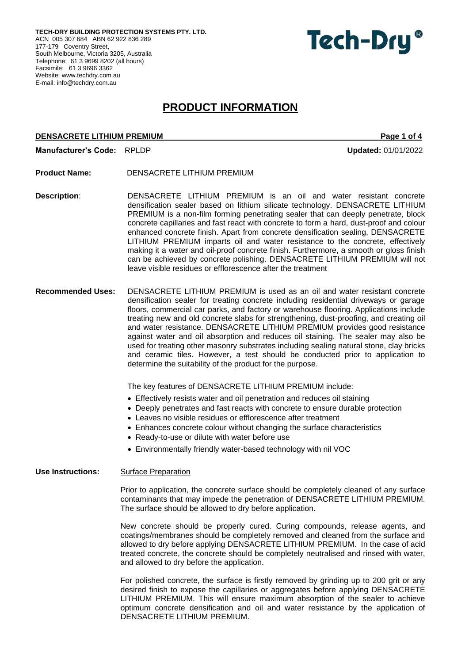**TECH-DRY BUILDING PROTECTION SYSTEMS PTY. LTD.** ACN 005 307 684 ABN 62 922 836 289 177-179 Coventry Street, South Melbourne, Victoria 3205, Australia Telephone: 61 3 9699 8202 (all hours) Facsimile: 61 3 9696 3362 Website[: www.techdry.com.au](http://www.techdry.com.au/) E-mail: [info@techdry.com.au](mailto:info@techdry.com.au)



# **PRODUCT INFORMATION**

## **DENSACRETE LITHIUM PREMIUM PREMIUM PAGE 1 OF 4**

**Manufacturer's Code:** RPLDP **Updated:** 01/01/2022

- **Product Name:** DENSACRETE LITHIUM PREMIUM
- **Description**: DENSACRETE LITHIUM PREMIUM is an oil and water resistant concrete densification sealer based on lithium silicate technology. DENSACRETE LITHIUM PREMIUM is a non-film forming penetrating sealer that can deeply penetrate, block concrete capillaries and fast react with concrete to form a hard, dust-proof and colour enhanced concrete finish. Apart from concrete densification sealing, DENSACRETE LITHIUM PREMIUM imparts oil and water resistance to the concrete, effectively making it a water and oil-proof concrete finish. Furthermore, a smooth or gloss finish can be achieved by concrete polishing. DENSACRETE LITHIUM PREMIUM will not leave visible residues or efflorescence after the treatment
- **Recommended Uses:** DENSACRETE LITHIUM PREMIUM is used as an oil and water resistant concrete densification sealer for treating concrete including residential driveways or garage floors, commercial car parks, and factory or warehouse flooring. Applications include treating new and old concrete slabs for strengthening, dust-proofing, and creating oil and water resistance. DENSACRETE LITHIUM PREMIUM provides good resistance against water and oil absorption and reduces oil staining. The sealer may also be used for treating other masonry substrates including sealing natural stone, clay bricks and ceramic tiles. However, a test should be conducted prior to application to determine the suitability of the product for the purpose.

The key features of DENSACRETE LITHIUM PREMIUM include:

- Effectively resists water and oil penetration and reduces oil staining
- Deeply penetrates and fast reacts with concrete to ensure durable protection
- Leaves no visible residues or efflorescence after treatment
- Enhances concrete colour without changing the surface characteristics
- Ready-to-use or dilute with water before use
- Environmentally friendly water-based technology with nil VOC

**Use Instructions:** Surface Preparation

Prior to application, the concrete surface should be completely cleaned of any surface contaminants that may impede the penetration of DENSACRETE LITHIUM PREMIUM. The surface should be allowed to dry before application.

New concrete should be properly cured. Curing compounds, release agents, and coatings/membranes should be completely removed and cleaned from the surface and allowed to dry before applying DENSACRETE LITHIUM PREMIUM. In the case of acid treated concrete, the concrete should be completely neutralised and rinsed with water, and allowed to dry before the application.

For polished concrete, the surface is firstly removed by grinding up to 200 grit or any desired finish to expose the capillaries or aggregates before applying DENSACRETE LITHIUM PREMIUM. This will ensure maximum absorption of the sealer to achieve optimum concrete densification and oil and water resistance by the application of DENSACRETE LITHIUM PREMIUM.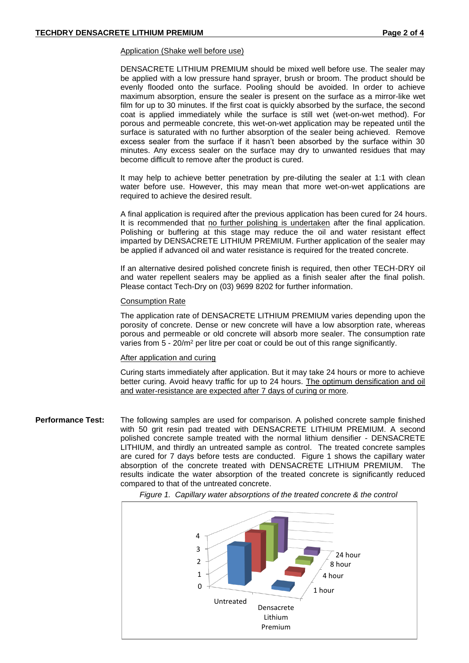#### Application (Shake well before use)

DENSACRETE LITHIUM PREMIUM should be mixed well before use. The sealer may be applied with a low pressure hand sprayer, brush or broom. The product should be evenly flooded onto the surface. Pooling should be avoided. In order to achieve maximum absorption, ensure the sealer is present on the surface as a mirror-like wet film for up to 30 minutes. If the first coat is quickly absorbed by the surface, the second coat is applied immediately while the surface is still wet (wet-on-wet method). For porous and permeable concrete, this wet-on-wet application may be repeated until the surface is saturated with no further absorption of the sealer being achieved. Remove excess sealer from the surface if it hasn't been absorbed by the surface within 30 minutes. Any excess sealer on the surface may dry to unwanted residues that may become difficult to remove after the product is cured.

It may help to achieve better penetration by pre-diluting the sealer at 1:1 with clean water before use. However, this may mean that more wet-on-wet applications are required to achieve the desired result.

A final application is required after the previous application has been cured for 24 hours. It is recommended that no further polishing is undertaken after the final application. Polishing or buffering at this stage may reduce the oil and water resistant effect imparted by DENSACRETE LITHIUM PREMIUM. Further application of the sealer may be applied if advanced oil and water resistance is required for the treated concrete.

If an alternative desired polished concrete finish is required, then other TECH-DRY oil and water repellent sealers may be applied as a finish sealer after the final polish. Please contact Tech-Dry on (03) 9699 8202 for further information.

## Consumption Rate

The application rate of DENSACRETE LITHIUM PREMIUM varies depending upon the porosity of concrete. Dense or new concrete will have a low absorption rate, whereas porous and permeable or old concrete will absorb more sealer. The consumption rate varies from 5 - 20/m<sup>2</sup> per litre per coat or could be out of this range significantly.

## After application and curing

Curing starts immediately after application. But it may take 24 hours or more to achieve better curing. Avoid heavy traffic for up to 24 hours. The optimum densification and oil and water-resistance are expected after 7 days of curing or more.

**Performance Test:** The following samples are used for comparison. A polished concrete sample finished with 50 grit resin pad treated with DENSACRETE LITHIUM PREMIUM. A second polished concrete sample treated with the normal lithium densifier - DENSACRETE LITHIUM, and thirdly an untreated sample as control. The treated concrete samples are cured for 7 days before tests are conducted. Figure 1 shows the capillary water absorption of the concrete treated with DENSACRETE LITHIUM PREMIUM. The results indicate the water absorption of the treated concrete is significantly reduced compared to that of the untreated concrete.



 *Figure 1. Capillary water absorptions of the treated concrete & the control*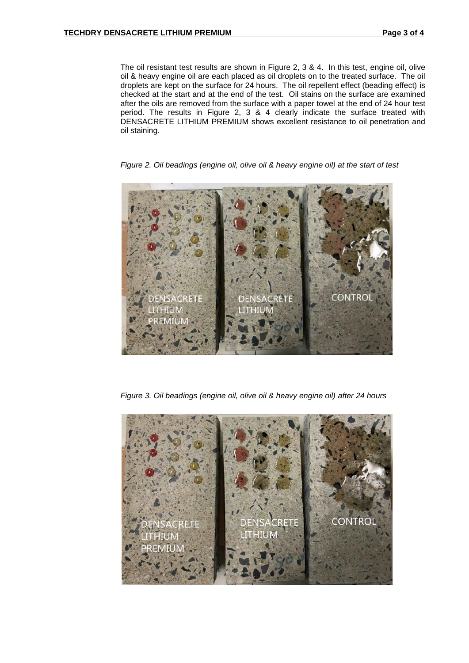The oil resistant test results are shown in Figure 2, 3 & 4. In this test, engine oil, olive oil & heavy engine oil are each placed as oil droplets on to the treated surface. The oil droplets are kept on the surface for 24 hours. The oil repellent effect (beading effect) is checked at the start and at the end of the test. Oil stains on the surface are examined after the oils are removed from the surface with a paper towel at the end of 24 hour test period. The results in Figure 2, 3 & 4 clearly indicate the surface treated with DENSACRETE LITHIUM PREMIUM shows excellent resistance to oil penetration and oil staining.

*Figure 2. Oil beadings (engine oil, olive oil & heavy engine oil) at the start of test*



*Figure 3. Oil beadings (engine oil, olive oil & heavy engine oil) after 24 hours*